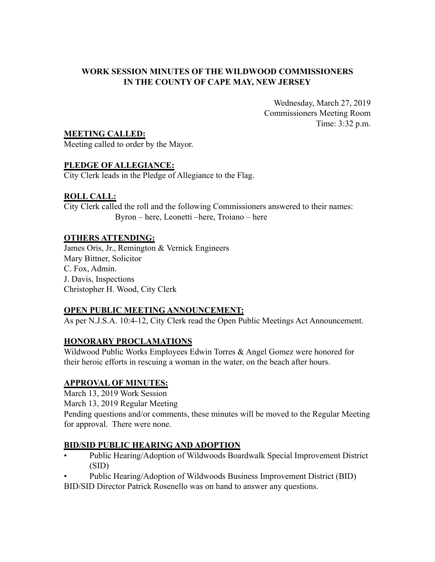### **WORK SESSION MINUTES OF THE WILDWOOD COMMISSIONERS IN THE COUNTY OF CAPE MAY, NEW JERSEY**

Wednesday, March 27, 2019 Commissioners Meeting Room Time: 3:32 p.m.

**MEETING CALLED:**

Meeting called to order by the Mayor.

### **PLEDGE OF ALLEGIANCE:**

City Clerk leads in the Pledge of Allegiance to the Flag.

### **ROLL CALL:**

City Clerk called the roll and the following Commissioners answered to their names: Byron – here, Leonetti –here, Troiano – here

### **OTHERS ATTENDING:**

James Oris, Jr., Remington & Vernick Engineers Mary Bittner, Solicitor C. Fox, Admin. J. Davis, Inspections Christopher H. Wood, City Clerk

# **OPEN PUBLIC MEETING ANNOUNCEMENT:**

As per N.J.S.A. 10:4-12, City Clerk read the Open Public Meetings Act Announcement.

# **HONORARY PROCLAMATIONS**

Wildwood Public Works Employees Edwin Torres & Angel Gomez were honored for their heroic efforts in rescuing a woman in the water, on the beach after hours.

### **APPROVAL OF MINUTES:**

March 13, 2019 Work Session

March 13, 2019 Regular Meeting

Pending questions and/or comments, these minutes will be moved to the Regular Meeting for approval. There were none.

### **BID/SID PUBLIC HEARING AND ADOPTION**

- Public Hearing/Adoption of Wildwoods Boardwalk Special Improvement District (SID)
- Public Hearing/Adoption of Wildwoods Business Improvement District (BID)

BID/SID Director Patrick Rosenello was on hand to answer any questions.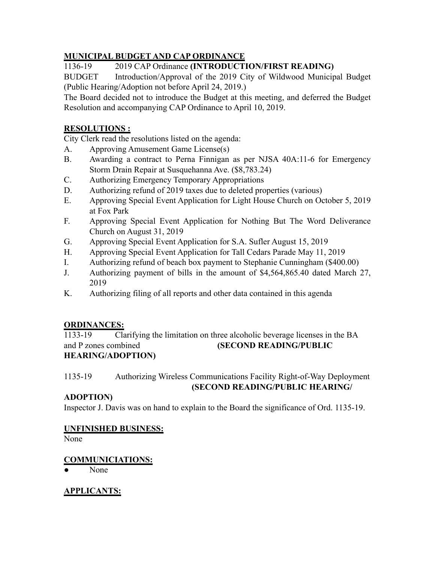# **MUNICIPAL BUDGET AND CAP ORDINANCE**

1136-19 2019 CAP Ordinance **(INTRODUCTION/FIRST READING)**

BUDGET Introduction/Approval of the 2019 City of Wildwood Municipal Budget (Public Hearing/Adoption not before April 24, 2019.)

The Board decided not to introduce the Budget at this meeting, and deferred the Budget Resolution and accompanying CAP Ordinance to April 10, 2019.

# **RESOLUTIONS :**

City Clerk read the resolutions listed on the agenda:

- A. Approving Amusement Game License(s)
- B. Awarding a contract to Perna Finnigan as per NJSA 40A:11-6 for Emergency Storm Drain Repair at Susquehanna Ave. (\$8,783.24)
- C. Authorizing Emergency Temporary Appropriations
- D. Authorizing refund of 2019 taxes due to deleted properties (various)
- E. Approving Special Event Application for Light House Church on October 5, 2019 at Fox Park
- F. Approving Special Event Application for Nothing But The Word Deliverance Church on August 31, 2019
- G. Approving Special Event Application for S.A. Sufler August 15, 2019
- H. Approving Special Event Application for Tall Cedars Parade May 11, 2019
- I. Authorizing refund of beach box payment to Stephanie Cunningham (\$400.00)
- J. Authorizing payment of bills in the amount of \$4,564,865.40 dated March 27, 2019
- K. Authorizing filing of all reports and other data contained in this agenda

# **ORDINANCES:**

1133-19 Clarifying the limitation on three alcoholic beverage licenses in the BA and P zones combined **(SECOND READING/PUBLIC HEARING/ADOPTION)**

1135-19 Authorizing Wireless Communications Facility Right-of-Way Deployment **(SECOND READING/PUBLIC HEARING/**

# **ADOPTION)**

Inspector J. Davis was on hand to explain to the Board the significance of Ord. 1135-19.

### **UNFINISHED BUSINESS:**

None

# **COMMUNICIATIONS:**

None

# **APPLICANTS:**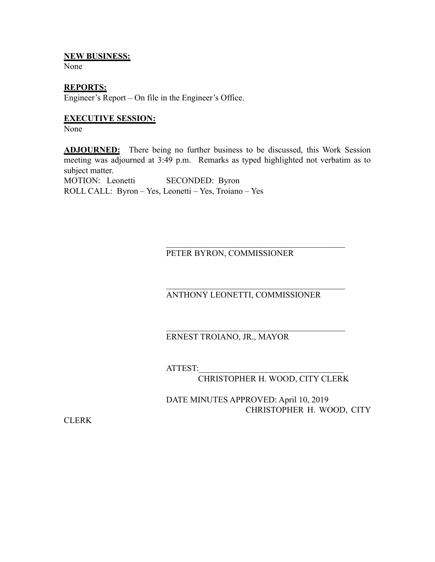### **NEW BUSINESS:**

None

### **REPORTS:**

Engineer's Report – On file in the Engineer's Office.

### **EXECUTIVE SESSION:**

None

**ADJOURNED:** There being no further business to be discussed, this Work Session meeting was adjourned at 3:49 p.m. Remarks as typed highlighted not verbatim as to subject matter.

MOTION: Leonetti SECONDED: Byron ROLL CALL: Byron – Yes, Leonetti – Yes, Troiano – Yes

PETER BYRON, COMMISSIONER

ANTHONY LEONETTI, COMMISSIONER

 $\mathcal{L}_\text{max}$  , where  $\mathcal{L}_\text{max}$  and  $\mathcal{L}_\text{max}$  and  $\mathcal{L}_\text{max}$  and  $\mathcal{L}_\text{max}$ 

 $\mathcal{L}_\text{max}$  , where  $\mathcal{L}_\text{max}$  and  $\mathcal{L}_\text{max}$  and  $\mathcal{L}_\text{max}$  and  $\mathcal{L}_\text{max}$ 

 $\mathcal{L}_\text{max}$  , where  $\mathcal{L}_\text{max}$  and  $\mathcal{L}_\text{max}$  and  $\mathcal{L}_\text{max}$  and  $\mathcal{L}_\text{max}$ 

### ERNEST TROIANO, JR., MAYOR

ATTEST:\_\_\_\_\_\_\_\_\_\_\_\_\_\_\_\_\_\_\_\_\_\_\_\_\_\_\_\_\_\_\_\_\_\_

CHRISTOPHER H. WOOD, CITY CLERK

DATE MINUTES APPROVED: April 10, 2019 CHRISTOPHER H. WOOD, CITY

CLERK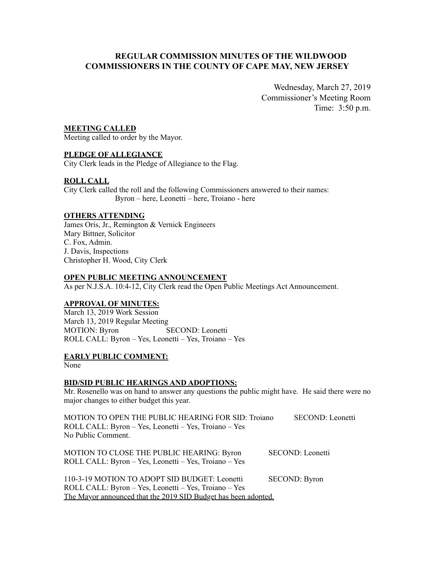### **REGULAR COMMISSION MINUTES OF THE WILDWOOD COMMISSIONERS IN THE COUNTY OF CAPE MAY, NEW JERSEY**

Wednesday, March 27, 2019 Commissioner's Meeting Room Time: 3:50 p.m.

### **MEETING CALLED**

Meeting called to order by the Mayor.

### **PLEDGE OF ALLEGIANCE**

City Clerk leads in the Pledge of Allegiance to the Flag.

### **ROLL CALL**

City Clerk called the roll and the following Commissioners answered to their names: Byron – here, Leonetti – here, Troiano - here

#### **OTHERS ATTENDING**

James Oris, Jr., Remington & Vernick Engineers Mary Bittner, Solicitor C. Fox, Admin. J. Davis, Inspections Christopher H. Wood, City Clerk

#### **OPEN PUBLIC MEETING ANNOUNCEMENT**

As per N.J.S.A. 10:4-12, City Clerk read the Open Public Meetings Act Announcement.

### **APPROVAL OF MINUTES:**

March 13, 2019 Work Session March 13, 2019 Regular Meeting MOTION: Byron SECOND: Leonetti ROLL CALL: Byron – Yes, Leonetti – Yes, Troiano – Yes

#### **EARLY PUBLIC COMMENT:**

None

### **BID/SID PUBLIC HEARINGS AND ADOPTIONS:**

Mr. Rosenello was on hand to answer any questions the public might have. He said there were no major changes to either budget this year.

| MOTION TO OPEN THE PUBLIC HEARING FOR SID: Troiano             | SECOND: Leonetti        |
|----------------------------------------------------------------|-------------------------|
| ROLL CALL: Byron – Yes, Leonetti – Yes, Troiano – Yes          |                         |
| No Public Comment.                                             |                         |
|                                                                |                         |
| MOTION TO CLOSE THE PUBLIC HEARING: Byron                      | <b>SECOND:</b> Leonetti |
| ROLL CALL: Byron - Yes, Leonetti - Yes, Troiano - Yes          |                         |
|                                                                |                         |
| 110-3-19 MOTION TO ADOPT SID BUDGET: Leonetti                  | <b>SECOND: Byron</b>    |
| ROLL CALL: Byron – Yes, Leonetti – Yes, Troiano – Yes          |                         |
| The Mayor announced that the 2019 SID Budget has been adopted. |                         |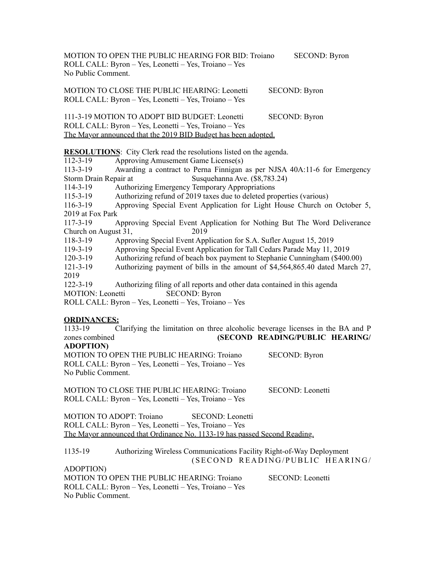MOTION TO OPEN THE PUBLIC HEARING FOR BID: Troiano SECOND: Byron ROLL CALL: Byron – Yes, Leonetti – Yes, Troiano – Yes No Public Comment.

MOTION TO CLOSE THE PUBLIC HEARING: Leonetti SECOND: Byron ROLL CALL: Byron – Yes, Leonetti – Yes, Troiano – Yes

111-3-19 MOTION TO ADOPT BID BUDGET: Leonetti SECOND: Byron ROLL CALL: Byron – Yes, Leonetti – Yes, Troiano – Yes The Mayor announced that the 2019 BID Budget has been adopted.

**RESOLUTIONS**: City Clerk read the resolutions listed on the agenda.

112-3-19 Approving Amusement Game License(s)

113-3-19 Awarding a contract to Perna Finnigan as per NJSA 40A:11-6 for Emergency Storm Drain Repair at Susquehanna Ave. (\$8,783.24)

114-3-19 Authorizing Emergency Temporary Appropriations

115-3-19 Authorizing refund of 2019 taxes due to deleted properties (various)

116-3-19 Approving Special Event Application for Light House Church on October 5, 2019 at Fox Park

117-3-19 Approving Special Event Application for Nothing But The Word Deliverance Church on August 31, 2019

118-3-19 Approving Special Event Application for S.A. Sufler August 15, 2019

119-3-19 Approving Special Event Application for Tall Cedars Parade May 11, 2019

120-3-19 Authorizing refund of beach box payment to Stephanie Cunningham (\$400.00)

121-3-19 Authorizing payment of bills in the amount of \$4,564,865.40 dated March 27, 2019

122-3-19 Authorizing filing of all reports and other data contained in this agenda MOTION: Leonetti SECOND: Byron

ROLL CALL: Byron – Yes, Leonetti – Yes, Troiano – Yes

### **ORDINANCES:**

1133-19 Clarifying the limitation on three alcoholic beverage licenses in the BA and P zones combined **(SECOND READING/PUBLIC HEARING/ ADOPTION)**

MOTION TO OPEN THE PUBLIC HEARING: Troiano SECOND: Byron ROLL CALL: Byron – Yes, Leonetti – Yes, Troiano – Yes No Public Comment.

MOTION TO CLOSE THE PUBLIC HEARING: Troiano SECOND: Leonetti ROLL CALL: Byron – Yes, Leonetti – Yes, Troiano – Yes

MOTION TO ADOPT: Troiano SECOND: Leonetti ROLL CALL: Byron – Yes, Leonetti – Yes, Troiano – Yes The Mayor announced that Ordinance No. 1133-19 has passed Second Reading.

1135-19 Authorizing Wireless Communications Facility Right-of-Way Deployment (SECOND READING/PUBLIC HEARING/ ADOPTION)

MOTION TO OPEN THE PUBLIC HEARING: Troiano SECOND: Leonetti ROLL CALL: Byron – Yes, Leonetti – Yes, Troiano – Yes No Public Comment.